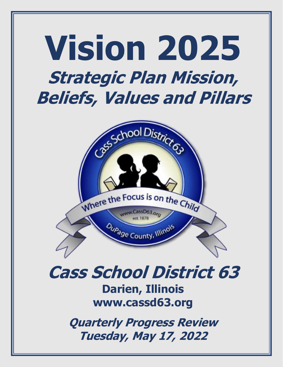



# **Cass School District 63 Darien, Illinois www.cassd63.org**

**Quarterly Progress Review Tuesday, May 17, 2022**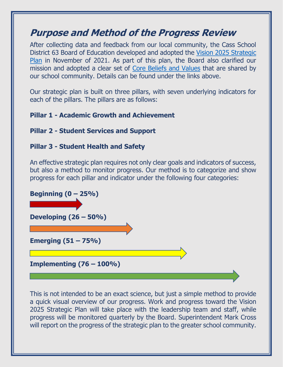# **Purpose and Method of the Progress Review**

After collecting data and feedback from our local community, the Cass School District 63 Board of Education developed and adopted the [Vision 2025 Strategic](https://www.cassd63.org/domain/308)  [Plan](https://www.cassd63.org/domain/308) in November of 2021. As part of this plan, the Board also clarified our mission and adopted a clear set of [Core Beliefs and Values](https://www.cassd63.org/domain/27) that are shared by our school community. Details can be found under the links above.

Our strategic plan is built on three pillars, with seven underlying indicators for each of the pillars. The pillars are as follows:

## **Pillar 1 - Academic Growth and Achievement**

### **Pillar 2 - Student Services and Support**

#### **Pillar 3 - Student Health and Safety**

An effective strategic plan requires not only clear goals and indicators of success, but also a method to monitor progress. Our method is to categorize and show progress for each pillar and indicator under the following four categories:



This is not intended to be an exact science, but just a simple method to provide a quick visual overview of our progress. Work and progress toward the Vision 2025 Strategic Plan will take place with the leadership team and staff, while progress will be monitored quarterly by the Board. Superintendent Mark Cross will report on the progress of the strategic plan to the greater school community.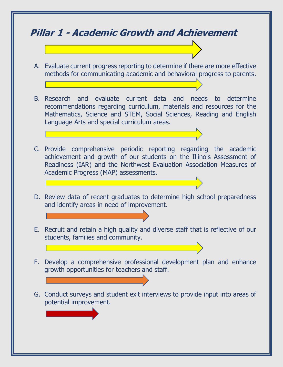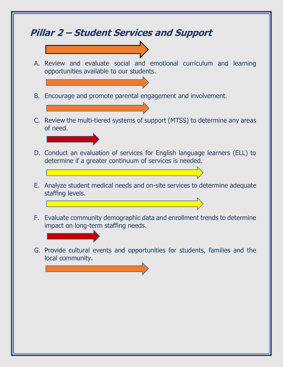